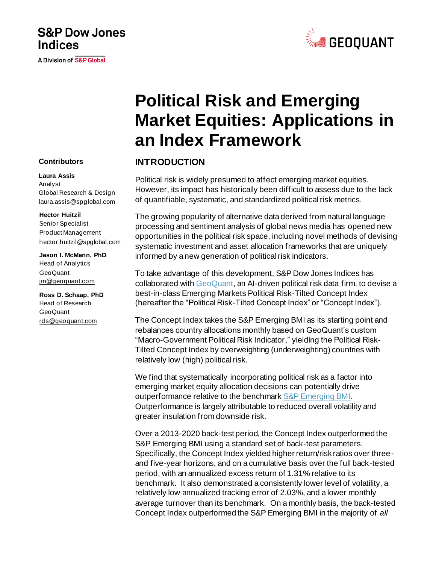# **S&P Dow Jones Indices**

A Division of S&P Global



# **Political Risk and Emerging Market Equities: Applications in an Index Framework**

## **INTRODUCTION**

Political risk is widely presumed to affect emerging market equities. However, its impact has historically been difficult to assess due to the lack of quantifiable, systematic, and standardized political risk metrics.

The growing popularity of alternative data derived from natural language processing and sentiment analysis of global news media has opened new opportunities in the political risk space, including novel methods of devising systematic investment and asset allocation frameworks that are uniquely informed by a new generation of political risk indicators.

To take advantage of this development, S&P Dow Jones Indices has collaborated with [GeoQuant,](http://www.geoquant.com/) an AI-driven political risk data firm, to devise a best-in-class Emerging Markets Political Risk-Tilted Concept Index (hereafter the "Political Risk-Tilted Concept Index" or "Concept Index").

The Concept Index takes the S&P Emerging BMI as its starting point and rebalances country allocations monthly based on GeoQuant's custom "Macro-Government Political Risk Indicator," yielding the Political Risk-Tilted Concept Index by overweighting (underweighting) countries with relatively low (high) political risk.

We find that systematically incorporating political risk as a factor into emerging market equity allocation decisions can potentially drive outperformance relative to the benchmar[k S&P Emerging BMI.](https://www.spglobal.com/spdji/en/indices/equity/sp-emerging-bmi/#overview) Outperformance is largely attributable to reduced overall volatility and greater insulation from downside risk.

Over a 2013-2020 back-test period, the Concept Index outperformed the S&P Emerging BMI using a standard set of back-test parameters. Specifically, the Concept Index yielded higher return/risk ratios over threeand five-year horizons, and on a cumulative basis over the full back-tested period, with an annualized excess return of 1.31% relative to its benchmark. It also demonstrated a consistently lower level of volatility, a relatively low annualized tracking error of 2.03%, and a lower monthly average turnover than its benchmark. On a monthly basis, the back-tested Concept Index outperformed the S&P Emerging BMI in the majority of *all*

#### **Contributors**

#### **Laura Assis**

Analyst Global Research & Design [laura.assis@spglobal.com](mailto:laura.assis@spglobal.com)

#### **Hector Huitzil**

Senior Specialist Product Management [hector.huitzil@spglobal.com](mailto:hector.huitzil@spglobal.com)

**Jason I. McMann, PhD** Head of Analytics **GeoQuant** [jm@geoquant.com](mailto:jm@geoquant.com)

**Ross D. Schaap, PhD** Head of Research GeoQuant [rds@geoquant.com](mailto:rds@geoquant.com)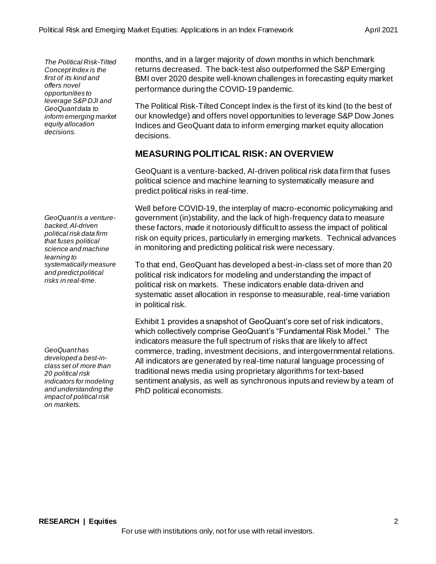*The Political Risk-Tilted Concept Index is the first of its kind and offers novel opportunities to leverage S&P DJI and GeoQuant data to inform emerging market equity allocation decisions.*

*GeoQuant is a venturebacked, AI-driven political risk data firm that fuses political science and machine learning to systematically measure and predict political risks in real-time.*

*GeoQuant has developed a best-inclass set of more than 20 political risk indicators for modeling and understanding the impact of political risk on markets.*

months, and in a larger majority of *down* months in which benchmark returns decreased. The back-test also outperformed the S&P Emerging BMI over 2020 despite well-known challenges in forecasting equity market performance during the COVID-19 pandemic.

The Political Risk-Tilted Concept Index is the first of its kind (to the best of our knowledge) and offers novel opportunities to leverage S&P Dow Jones Indices and GeoQuant data to inform emerging market equity allocation decisions.

## **MEASURING POLITICAL RISK: AN OVERVIEW**

GeoQuant is a venture-backed, AI-driven political risk data firm that fuses political science and machine learning to systematically measure and predict political risks in real-time.

Well before COVID-19, the interplay of macro-economic policymaking and government (in)stability, and the lack of high-frequency data to measure these factors, made it notoriously difficult to assess the impact of political risk on equity prices, particularly in emerging markets. Technical advances in monitoring and predicting political risk were necessary.

To that end, GeoQuant has developed a best-in-class set of more than 20 political risk indicators for modeling and understanding the impact of political risk on markets. These indicators enable data-driven and systematic asset allocation in response to measurable, real-time variation in political risk.

Exhibit 1 provides a snapshot of GeoQuant's core set of risk indicators, which collectively comprise GeoQuant's "Fundamental Risk Model." The indicators measure the full spectrum of risks that are likely to affect commerce, trading, investment decisions, and intergovernmental relations. All indicators are generated by real-time natural language processing of traditional news media using proprietary algorithms for text-based sentiment analysis, as well as synchronous inputs and review by a team of PhD political economists.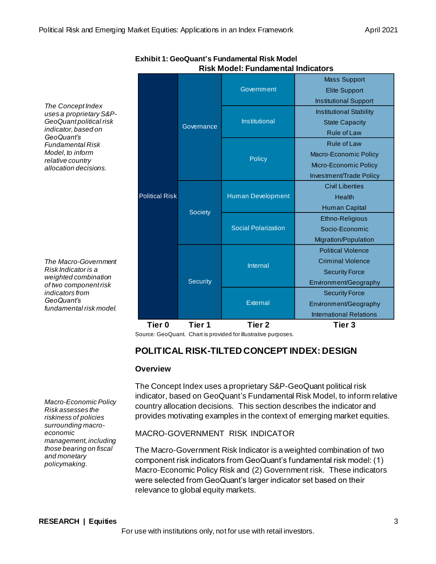*The Concept Index uses a proprietary S&P-GeoQuant political risk indicator, based on GeoQuant's Fundamental Risk Model, to inform relative country allocation decisions.*

*The Macro-Government Risk Indicator is a weighted combination of two component risk indicators from GeoQuant's fundamental risk model.*

*Macro-Economic Policy Risk assesses the riskiness of policies surrounding macroeconomic management, including those bearing on fiscal and monetary policymaking.*

|                       | Governance      | Government                 | <b>Mass Support</b>            |
|-----------------------|-----------------|----------------------------|--------------------------------|
|                       |                 |                            | <b>Elite Support</b>           |
|                       |                 | Institutional              | <b>Institutional Support</b>   |
|                       |                 |                            | <b>Institutional Stability</b> |
|                       |                 |                            | <b>State Capacity</b>          |
|                       |                 | <b>Policy</b>              | <b>Rule of Law</b>             |
|                       |                 |                            | <b>Rule of Law</b>             |
|                       |                 |                            | Macro-Economic Policy          |
|                       |                 |                            | Micro-Economic Policy          |
| <b>Political Risk</b> | <b>Society</b>  | <b>Human Development</b>   | Investment/Trade Policy        |
|                       |                 |                            | <b>Civil Liberties</b>         |
|                       |                 |                            | Health                         |
|                       |                 | <b>Social Polarization</b> | <b>Human Capital</b>           |
|                       |                 |                            | Ethno-Religious                |
|                       |                 |                            | Socio-Economic                 |
|                       | <b>Security</b> | Internal                   | Migration/Population           |
|                       |                 |                            | <b>Political Violence</b>      |
|                       |                 |                            | <b>Criminal Violence</b>       |
|                       |                 |                            | <b>Security Force</b>          |
|                       |                 |                            | Environment/Geography          |
|                       |                 | <b>External</b>            | <b>Security Force</b>          |
|                       |                 |                            | Environment/Geography          |
|                       |                 |                            | <b>International Relations</b> |
| Tier 0                | Tier 1          | Tier 2                     | Tier 3                         |

**Exhibit 1: GeoQuant's Fundamental Risk Model Risk Model: Fundamental Indicators**

Source: GeoQuant. Chart is provided for illustrative purposes.

## **POLITICAL RISK-TILTED CONCEPT INDEX: DESIGN**

## **Overview**

The Concept Index uses a proprietary S&P-GeoQuant political risk indicator, based on GeoQuant's Fundamental Risk Model, to inform relative country allocation decisions. This section describes the indicator and provides motivating examples in the context of emerging market equities.

## MACRO-GOVERNMENT RISK INDICATOR

The Macro-Government Risk Indicator is a weighted combination of two component risk indicators from GeoQuant's fundamental risk model: (1) Macro-Economic Policy Risk and (2) Government risk. These indicators were selected from GeoQuant's larger indicator set based on their relevance to global equity markets.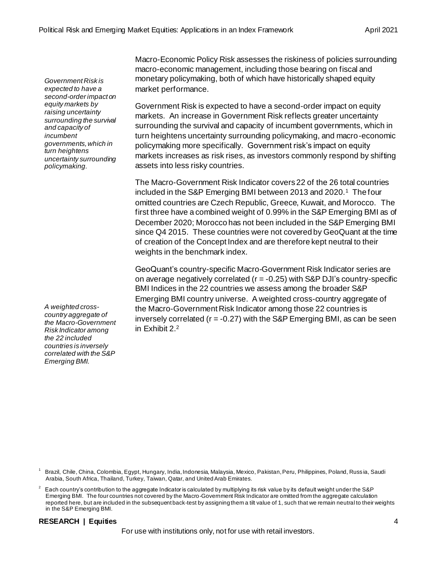*Government Risk is expected to have a second-order impact on equity markets by raising uncertainty surrounding the survival and capacity of incumbent governments, which in turn heightens uncertainty surrounding policymaking.*

*A weighted crosscountry aggregate of the Macro-Government Risk Indicator among the 22 included countries is inversely correlated with the S&P Emerging BMI.*

Macro-Economic Policy Risk assesses the riskiness of policies surrounding macro-economic management, including those bearing on fiscal and monetary policymaking, both of which have historically shaped equity market performance.

Government Risk is expected to have a second-order impact on equity markets. An increase in Government Risk reflects greater uncertainty surrounding the survival and capacity of incumbent governments, which in turn heightens uncertainty surrounding policymaking, and macro-economic policymaking more specifically. Government risk's impact on equity markets increases as risk rises, as investors commonly respond by shifting assets into less risky countries.

The Macro-Government Risk Indicator covers 22 of the 26 total countries included in the S&P Emerging BMI between 2013 and 2020.<sup>1</sup> The four omitted countries are Czech Republic, Greece, Kuwait, and Morocco. The first three have a combined weight of 0.99% in the S&P Emerging BMI as of December 2020; Morocco has not been included in the S&P Emerging BMI since Q4 2015. These countries were not covered by GeoQuant at the time of creation of the Concept Index and are therefore kept neutral to their weights in the benchmark index.

GeoQuant's country-specific Macro-Government Risk Indicator series are on average negatively correlated (r = -0.25) with S&P DJI's country-specific BMI Indices in the 22 countries we assess among the broader S&P Emerging BMI country universe. A weighted cross-country aggregate of the Macro-Government Risk Indicator among those 22 countries is inversely correlated ( $r = -0.27$ ) with the S&P Emerging BMI, as can be seen in Exhibit 2. 2

<sup>1</sup> Brazil, Chile, China, Colombia, Egypt, Hungary, India, Indonesia, Malaysia, Mexico, Pakistan, Peru, Philippines, Poland, Russ ia, Saudi Arabia, South Africa, Thailand, Turkey, Taiwan, Qatar, and United Arab Emirates.

Each country's contribution to the aggregate Indicator is calculated by multiplying its risk value by its default weight under the S&P Emerging BMI. The four countries not covered by the Macro-Government Risk Indicator are omitted from the aggregate calculation reported here, but are included in the subsequent back-test by assigning them a tilt value of 1, such that we remain neutral to their weights in the S&P Emerging BMI.

## **RESEARCH | Equities** 4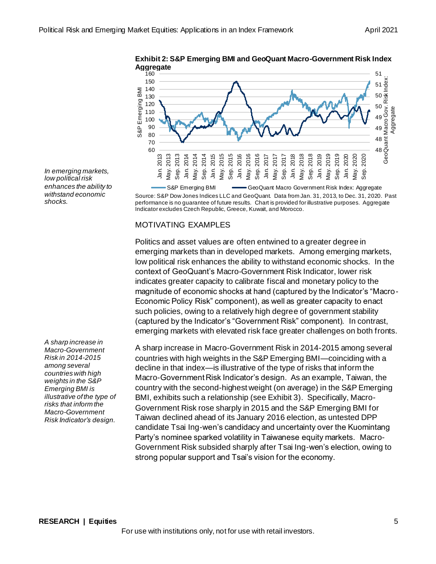

**Exhibit 2: S&P Emerging BMI and GeoQuant Macro-Government Risk Index** 

Source: S&P Dow Jones Indices LLC and GeoQuant. Data from Jan. 31, 2013, to Dec. 31, 2020. Past performance is no guarantee of future results. Chart is provided for illustrative purposes. Aggregate Indicator excludes Czech Republic, Greece, Kuwait, and Morocco. S&P Emerging BMI GeoQuant Macro Government Risk Index: Aggregate

## MOTIVATING EXAMPLES

Politics and asset values are often entwined to a greater degree in emerging markets than in developed markets. Among emerging markets, low political risk enhances the ability to withstand economic shocks. In the context of GeoQuant's Macro-Government Risk Indicator, lower risk indicates greater capacity to calibrate fiscal and monetary policy to the magnitude of economic shocks at hand (captured by the Indicator's "Macro-Economic Policy Risk" component), as well as greater capacity to enact such policies, owing to a relatively high degree of government stability (captured by the Indicator's "Government Risk" component). In contrast, emerging markets with elevated risk face greater challenges on both fronts.

A sharp increase in Macro-Government Risk in 2014-2015 among several countries with high weights in the S&P Emerging BMI—coinciding with a decline in that index—is illustrative of the type of risks that inform the Macro-Government Risk Indicator's design. As an example, Taiwan, the country with the second-highest weight (on average) in the S&P Emerging BMI, exhibits such a relationship (see Exhibit 3). Specifically, Macro-Government Risk rose sharply in 2015 and the S&P Emerging BMI for Taiwan declined ahead of its January 2016 election, as untested DPP candidate Tsai Ing-wen's candidacy and uncertainty over the Kuomintang Party's nominee sparked volatility in Taiwanese equity markets. Macro-Government Risk subsided sharply after Tsai Ing-wen's election, owing to strong popular support and Tsai's vision for the economy.

*In emerging markets, low political risk enhances the ability to withstand economic shocks.*

*A sharp increase in Macro-Government Risk in 2014-2015 among several countries with high weights in the S&P Emerging BMI is illustrative of the type of risks that inform the Macro-Government Risk Indicator's design.*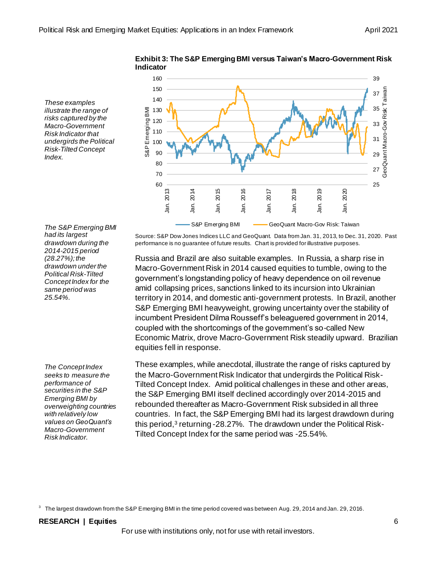*These examples illustrate the range of risks captured by the Macro-Government Risk Indicator that undergirds the Political Risk-Tilted Concept Index.*



**Exhibit 3: The S&P Emerging BMI versus Taiwan's Macro-Government Risk**

*The S&P Emerging BMI had its largest drawdown during the 2014-2015 period (28.27%); the drawdown under the Political Risk-Tilted Concept Index for the same period was 25.54%.*

*The Concept Index seeks to measure the performance of securities in the S&P Emerging BMI by overweighting countries with relatively low values on GeoQuant's Macro-Government Risk Indicator.*

Source: S&P Dow Jones Indices LLC and GeoQuant. Data from Jan. 31, 2013, to Dec. 31, 2020. Past performance is no guarantee of future results. Chart is provided for illustrative purposes.

Russia and Brazil are also suitable examples. In Russia, a sharp rise in Macro-Government Risk in 2014 caused equities to tumble, owing to the government's longstanding policy of heavy dependence on oil revenue amid collapsing prices, sanctions linked to its incursion into Ukrainian territory in 2014, and domestic anti-government protests. In Brazil, another S&P Emerging BMI heavyweight, growing uncertainty over the stability of incumbent President Dilma Rousseff's beleaguered government in 2014, coupled with the shortcomings of the government's so-called New Economic Matrix, drove Macro-Government Risk steadily upward. Brazilian equities fell in response.

These examples, while anecdotal, illustrate the range of risks captured by the Macro-Government Risk Indicator that undergirds the Political Risk-Tilted Concept Index. Amid political challenges in these and other areas, the S&P Emerging BMI itself declined accordingly over 2014-2015 and rebounded thereafter as Macro-Government Risk subsided in all three countries. In fact, the S&P Emerging BMI had its largest drawdown during this period,<sup>3</sup> returning -28.27%. The drawdown under the Political Risk-Tilted Concept Index for the same period was -25.54%.

 $^3$  The largest drawdown from the S&P Emerging BMI in the time period covered was between Aug. 29, 2014 and Jan. 29, 2016.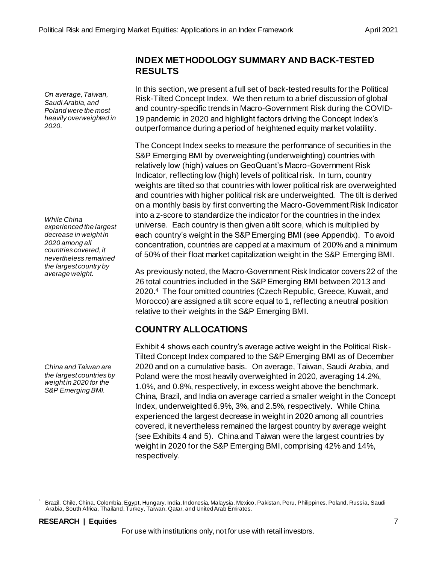*On average, Taiwan, Saudi Arabia, and Poland were the most heavily overweighted in 2020.*

*While China experienced the largest decrease in weight in 2020 among all countries covered, it nevertheless remained the largest country by average weight.*

*China and Taiwan are the largest countries by weight in 2020 for the S&P Emerging BMI.*

## **INDEX METHODOLOGY SUMMARY AND BACK-TESTED RESULTS**

In this section, we present a full set of back-tested results for the Political Risk-Tilted Concept Index. We then return to a brief discussion of global and country-specific trends in Macro-Government Risk during the COVID-19 pandemic in 2020 and highlight factors driving the Concept Index's outperformance during a period of heightened equity market volatility.

The Concept Index seeks to measure the performance of securities in the S&P Emerging BMI by overweighting (underweighting) countries with relatively low (high) values on GeoQuant's Macro-Government Risk Indicator, reflecting low (high) levels of political risk. In turn, country weights are tilted so that countries with lower political risk are overweighted and countries with higher political risk are underweighted. The tilt is derived on a monthly basis by first converting the Macro-Government Risk Indicator into a z-score to standardize the indicator for the countries in the index universe. Each country is then given a tilt score, which is multiplied by each country's weight in the S&P Emerging BMI (see Appendix). To avoid concentration, countries are capped at a maximum of 200% and a minimum of 50% of their float market capitalization weight in the S&P Emerging BMI.

As previously noted, the Macro-Government Risk Indicator covers 22 of the 26 total countries included in the S&P Emerging BMI between 2013 and 2020.<sup>4</sup> The four omitted countries (Czech Republic, Greece, Kuwait, and Morocco) are assigned a tilt score equal to 1, reflecting a neutral position relative to their weights in the S&P Emerging BMI.

## **COUNTRY ALLOCATIONS**

Exhibit 4 shows each country's average active weight in the Political Risk-Tilted Concept Index compared to the S&P Emerging BMI as of December 2020 and on a cumulative basis. On average, Taiwan, Saudi Arabia, and Poland were the most heavily overweighted in 2020, averaging 14.2%, 1.0%, and 0.8%, respectively, in excess weight above the benchmark. China, Brazil, and India on average carried a smaller weight in the Concept Index, underweighted 6.9%, 3%, and 2.5%, respectively. While China experienced the largest decrease in weight in 2020 among all countries covered, it nevertheless remained the largest country by average weight (see Exhibits 4 and 5). China and Taiwan were the largest countries by weight in 2020 for the S&P Emerging BMI, comprising 42% and 14%, respectively.

<sup>4</sup> Brazil, Chile, China, Colombia, Egypt, Hungary, India, Indonesia, Malaysia, Mexico, Pakistan, Peru, Philippines, Poland, Russ ia, Saudi Arabia, South Africa, Thailand, Turkey, Taiwan, Qatar, and United Arab Emirates.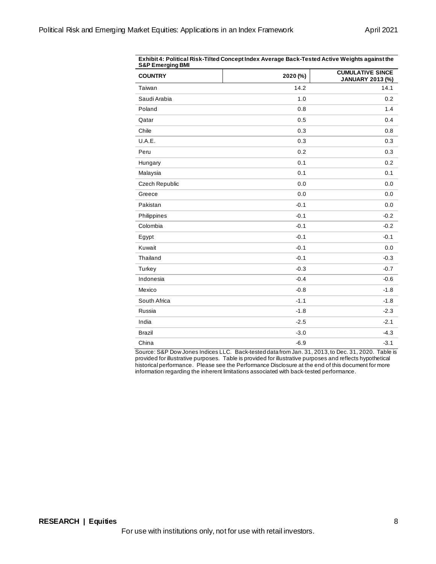| <b>COUNTRY</b> | 2020 (%) | <b>CUMULATIVE SINCE</b><br>JANUARY 2013 (%) |
|----------------|----------|---------------------------------------------|
| Taiwan         | 14.2     | 14.1                                        |
| Saudi Arabia   | 1.0      | 0.2                                         |
| Poland         | 0.8      | 1.4                                         |
| Qatar          | 0.5      | 0.4                                         |
| Chile          | 0.3      | 0.8                                         |
| U.A.E.         | 0.3      | 0.3                                         |
| Peru           | 0.2      | 0.3                                         |
| Hungary        | 0.1      | 0.2                                         |
| Malaysia       | 0.1      | 0.1                                         |
| Czech Republic | 0.0      | 0.0                                         |
| Greece         | 0.0      | 0.0                                         |
| Pakistan       | $-0.1$   | 0.0                                         |
| Philippines    | $-0.1$   | $-0.2$                                      |
| Colombia       | $-0.1$   | $-0.2$                                      |
| Egypt          | $-0.1$   | $-0.1$                                      |
| Kuwait         | $-0.1$   | 0.0                                         |
| Thailand       | $-0.1$   | $-0.3$                                      |
| Turkey         | $-0.3$   | $-0.7$                                      |
| Indonesia      | $-0.4$   | $-0.6$                                      |
| Mexico         | $-0.8$   | $-1.8$                                      |
| South Africa   | $-1.1$   | $-1.8$                                      |
| Russia         | $-1.8$   | $-2.3$                                      |
| India          | $-2.5$   | $-2.1$                                      |
| <b>Brazil</b>  | $-3.0$   | $-4.3$                                      |
| China          | $-6.9$   | $-3.1$                                      |

**Exhibit 4: Political Risk-Tilted Concept Index Average Back-Tested Active Weights against the** 

Source: S&P Dow Jones Indices LLC. Back-tested data from Jan. 31, 2013,to Dec. 31, 2020. Table is provided for illustrative purposes. Table is provided for illustrative purposes and reflects hypothetical historical performance. Please see the Performance Disclosure at the end of this document for more information regarding the inherent limitations associated with back-tested performance.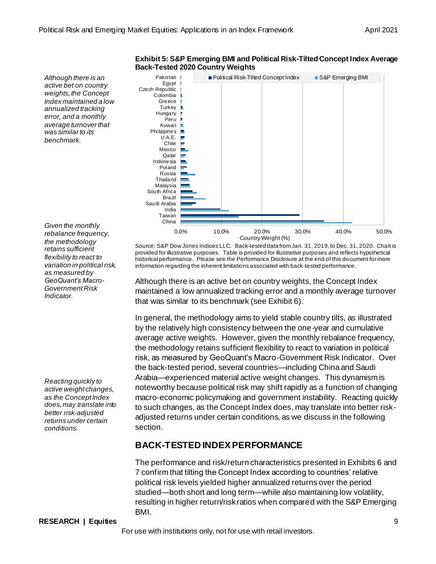

#### **Exhibit 5: S&P Emerging BMI and Political Risk-Tilted Concept Index Average Back-Tested 2020 Country Weights**

*Given the monthly rebalance frequency, the methodology retains sufficient flexibility to react to variation in political risk, as measured by GeoQuant's Macro-Government Risk Indicator.*

*Reacting quickly to active weight changes, as the Concept Index does, may translate into better risk-adjusted returns under certain conditions.*

Source: S&P Dow Jones Indices LLC. Back-tested data from Jan. 31, 2019,to Dec. 31, 2020. Chart is provided for illustrative purposes. Table is provided for illustrative purposes and reflects hypothetical historical performance. Please see the Performance Disclosure at the end of this document for more information regarding the inherent limitations associated with back-tested performance.

Although there is an active bet on country weights, the Concept Index maintained a low annualized tracking error and a monthly average turnover that was similar to its benchmark (see Exhibit 6).

In general, the methodology aims to yield stable country tilts, as illustrated by the relatively high consistency between the one-year and cumulative average active weights. However, given the monthly rebalance frequency, the methodology retains sufficient flexibility to react to variation in political risk, as measured by GeoQuant's Macro-Government Risk Indicator. Over the back-tested period, several countries—including China and Saudi Arabia—experienced material active weight changes. This dynamism is noteworthy because political risk may shift rapidly as a function of changing macro-economic policymaking and government instability. Reacting quickly to such changes, as the Concept Index does, may translate into better riskadjusted returns under certain conditions, as we discuss in the following section.

## **BACK-TESTED INDEX PERFORMANCE**

The performance and risk/return characteristics presented in Exhibits 6 and 7 confirm that tilting the Concept Index according to countries' relative political risk levels yielded higher annualized returns over the period studied—both short and long term—while also maintaining low volatility, resulting in higher return/risk ratios when compared with the S&P Emerging BMI.

#### **RESEARCH | Equities** 9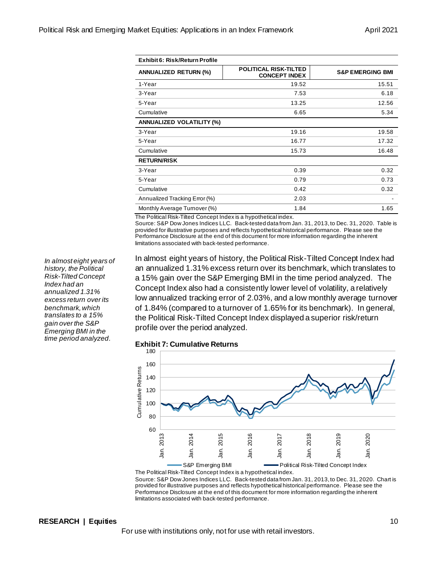| Exhibit 6: Risk/Return Profile   |                                                      |                             |  |  |  |  |
|----------------------------------|------------------------------------------------------|-----------------------------|--|--|--|--|
| <b>ANNUALIZED RETURN (%)</b>     | <b>POLITICAL RISK-TILTED</b><br><b>CONCEPT INDEX</b> | <b>S&amp;P EMERGING BMI</b> |  |  |  |  |
| 1-Year                           | 19.52                                                | 15.51                       |  |  |  |  |
| 3-Year                           | 7.53                                                 | 6.18                        |  |  |  |  |
| 5-Year                           | 13.25                                                | 12.56                       |  |  |  |  |
| Cumulative                       | 6.65                                                 | 5.34                        |  |  |  |  |
| <b>ANNUALIZED VOLATILITY (%)</b> |                                                      |                             |  |  |  |  |
| 3-Year                           | 19.16                                                | 19.58                       |  |  |  |  |
| 5-Year                           | 16.77                                                | 17.32                       |  |  |  |  |
| Cumulative                       | 15.73                                                | 16.48                       |  |  |  |  |
| <b>RETURN/RISK</b>               |                                                      |                             |  |  |  |  |
| 3-Year                           | 0.39                                                 | 0.32                        |  |  |  |  |
| 5-Year                           | 0.79                                                 | 0.73                        |  |  |  |  |
| Cumulative                       | 0.42                                                 | 0.32                        |  |  |  |  |
| Annualized Tracking Error (%)    | 2.03                                                 |                             |  |  |  |  |
| Monthly Average Turnover (%)     | 1.84                                                 | 1.65                        |  |  |  |  |

The Political Risk-Tilted Concept Index is a hypothetical index.

Source: S&P Dow Jones Indices LLC. Back-tested data from Jan. 31, 2013,to Dec. 31, 2020. Table is provided for illustrative purposes and reflects hypothetical historical performance. Please see the Performance Disclosure at the end of this document for more information regarding the inherent limitations associated with back-tested performance.

In almost eight years of history, the Political Risk-Tilted Concept Index had an annualized 1.31% excess return over its benchmark, which translates to a 15% gain over the S&P Emerging BMI in the time period analyzed. The Concept Index also had a consistently lower level of volatility, a relatively low annualized tracking error of 2.03%, and a low monthly average turnover of 1.84% (compared to a turnover of 1.65% for its benchmark). In general, the Political Risk-Tilted Concept Index displayed a superior risk/return profile over the period analyzed.

**Exhibit 7: Cumulative Returns**



The Political Risk-Tilted Concept Index is a hypothetical index. Source: S&P Dow Jones Indices LLC. Back-tested data from Jan. 31, 2013,to Dec. 31, 2020. Chart is provided for illustrative purposes and reflects hypothetical historical performance. Please see the Performance Disclosure at the end of this document for more information regarding the inherent limitations associated with back-tested performance.

*In almost eight years of history, the Political Risk-Tilted Concept Index had an annualized 1.31% excess return over its benchmark, which translates to a 15% gain over the S&P Emerging BMI in the time period analyzed.*

#### **RESEARCH | Equities** 10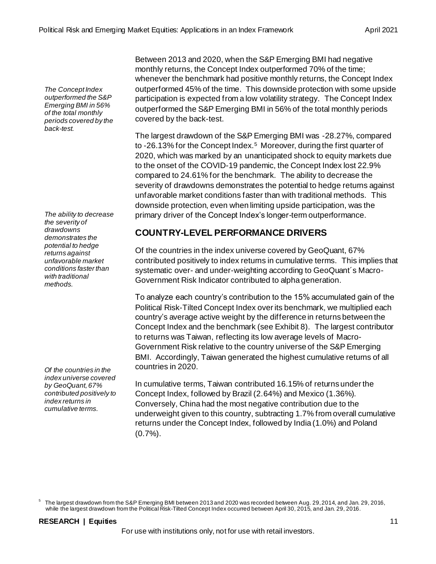*The Concept Index outperformed the S&P Emerging BMI in 56% of the total monthly periods covered by the back-test.*

*The ability to decrease the severity of drawdowns demonstrates the potential to hedge returns against unfavorable market conditions faster than with traditional methods.*

*Of the countries in the index universe covered by GeoQuant, 67% contributed positively to index returns in cumulative terms.*

Between 2013 and 2020, when the S&P Emerging BMI had negative monthly returns, the Concept Index outperformed 70% of the time; whenever the benchmark had positive monthly returns, the Concept Index outperformed 45% of the time. This downside protection with some upside participation is expected from a low volatility strategy. The Concept Index outperformed the S&P Emerging BMI in 56% of the total monthly periods covered by the back-test.

The largest drawdown of the S&P Emerging BMI was -28.27%, compared to -26.13% for the Concept Index.<sup>5</sup> Moreover, during the first quarter of 2020, which was marked by an unanticipated shock to equity markets due to the onset of the COVID-19 pandemic, the Concept Index lost 22.9% compared to 24.61% for the benchmark. The ability to decrease the severity of drawdowns demonstrates the potential to hedge returns against unfavorable market conditions faster than with traditional methods. This downside protection, even when limiting upside participation, was the primary driver of the Concept Index's longer-term outperformance.

# **COUNTRY-LEVEL PERFORMANCE DRIVERS**

Of the countries in the index universe covered by GeoQuant, 67% contributed positively to index returns in cumulative terms. This implies that systematic over- and under-weighting according to GeoQuant´s Macro-Government Risk Indicator contributed to alpha generation.

To analyze each country's contribution to the 15% accumulated gain of the Political Risk-Tilted Concept Index over its benchmark, we multiplied each country's average active weight by the difference in returns between the Concept Index and the benchmark (see Exhibit 8). The largest contributor to returns was Taiwan, reflecting its low average levels of Macro-Government Risk relative to the country universe of the S&P Emerging BMI. Accordingly, Taiwan generated the highest cumulative returns of all countries in 2020.

In cumulative terms, Taiwan contributed 16.15% of returns under the Concept Index, followed by Brazil (2.64%) and Mexico (1.36%). Conversely, China had the most negative contribution due to the underweight given to this country, subtracting 1.7% from overall cumulative returns under the Concept Index, followed by India (1.0%) and Poland  $(0.7\%)$ .

 $^5$  The largest drawdown from the S&P Emerging BMI between 2013 and 2020 was recorded between Aug. 29, 2014, and Jan. 29, 2016, while the largest drawdown from the Political Risk-Tilted Concept Index occurred between April 30, 2015, and Jan. 29, 2016.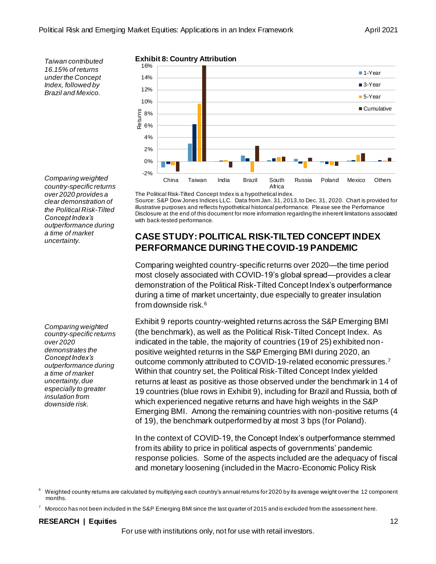*Taiwan contributed 16.15% of returns under the Concept Index, followed by Brazil and Mexico.*

*Comparing weighted country-specific returns over 2020 provides a clear demonstration of the Political Risk-Tilted Concept Index's outperformance during a time of market uncertainty.*

*Comparing weighted country-specific returns over 2020 demonstrates the Concept Index's outperformance during a time of market uncertainty, due especially to greater insulation from downside risk.*

## **Exhibit 8: Country Attribution**



The Political Risk-Tilted Concept Index is a hypothetical index. Source: S&P Dow Jones Indices LLC. Data from Jan. 31, 2013,to Dec. 31, 2020. Chart is provided for illustrative purposes and reflects hypothetical historical performance. Please see the Performance Disclosure at the end of this document for more information regarding the inherent limitations associated with back-tested performance.

# **CASE STUDY: POLITICAL RISK-TILTED CONCEPT INDEX PERFORMANCE DURING THE COVID-19 PANDEMIC**

Comparing weighted country-specific returns over 2020—the time period most closely associated with COVID-19's global spread—provides a clear demonstration of the Political Risk-Tilted Concept Index's outperformance during a time of market uncertainty, due especially to greater insulation from downside risk.<sup>6</sup>

Exhibit 9 reports country-weighted returns across the S&P Emerging BMI (the benchmark), as well as the Political Risk-Tilted Concept Index. As indicated in the table, the majority of countries (19 of 25) exhibited nonpositive weighted returns in the S&P Emerging BMI during 2020, an outcome commonly attributed to COVID-19-related economic pressures.<sup>7</sup> Within that country set, the Political Risk-Tilted Concept Index yielded returns at least as positive as those observed under the benchmark in 14 of 19 countries (blue rows in Exhibit 9), including for Brazil and Russia, both of which experienced negative returns and have high weights in the S&P Emerging BMI. Among the remaining countries with non-positive returns (4 of 19), the benchmark outperformed by at most 3 bps (for Poland).

In the context of COVID-19, the Concept Index's outperformance stemmed from its ability to price in political aspects of governments' pandemic response policies. Some of the aspects included are the adequacy of fiscal and monetary loosening (included in the Macro-Economic Policy Risk

## **RESEARCH | Equities** 12

<sup>6</sup> Weighted country returns are calculated by multiplying each country's annual returns for 2020 by its average weight over the 12 component months.

<sup>7</sup> Morocco has not been included in the S&P Emerging BMI since the last quarter of 2015 and is excluded from the assessment here.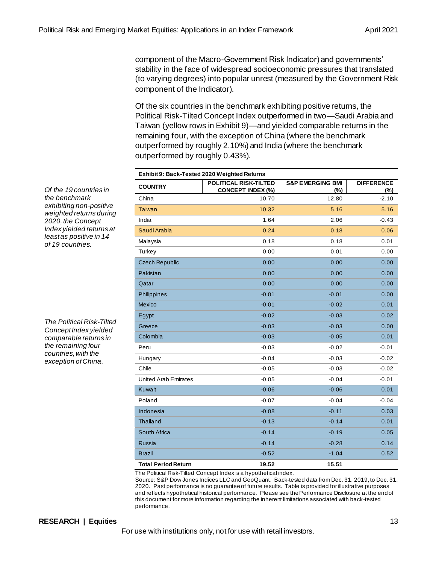component of the Macro-Government Risk Indicator) and governments' stability in the face of widespread socioeconomic pressures that translated (to varying degrees) into popular unrest (measured by the Government Risk component of the Indicator).

Of the six countries in the benchmark exhibiting positive returns, the Political Risk-Tilted Concept Index outperformed in two—Saudi Arabia and Taiwan (yellow rows in Exhibit 9)—and yielded comparable returns in the remaining four, with the exception of China (where the benchmark outperformed by roughly 2.10%) and India (where the benchmark outperformed by roughly 0.43%).

| Exhibit 9: Back-Tested 2020 Weighted Returns |                                                          |                                    |                          |  |
|----------------------------------------------|----------------------------------------------------------|------------------------------------|--------------------------|--|
| <b>COUNTRY</b>                               | <b>POLITICAL RISK-TILTED</b><br><b>CONCEPT INDEX (%)</b> | <b>S&amp;P EMERGING BMI</b><br>(%) | <b>DIFFERENCE</b><br>(%) |  |
| China                                        | 10.70                                                    | 12.80                              | $-2.10$                  |  |
| <b>Taiwan</b>                                | 10.32                                                    | 5.16                               | 5.16                     |  |
| India                                        | 1.64                                                     | 2.06                               | $-0.43$                  |  |
| Saudi Arabia                                 | 0.24                                                     | 0.18                               | 0.06                     |  |
| Malaysia                                     | 0.18                                                     | 0.18                               | 0.01                     |  |
| Turkey                                       | 0.00                                                     | 0.01                               | 0.00                     |  |
| <b>Czech Republic</b>                        | 0.00                                                     | 0.00                               | 0.00                     |  |
| Pakistan                                     | 0.00                                                     | 0.00                               | 0.00                     |  |
| Qatar                                        | 0.00                                                     | 0.00                               | 0.00                     |  |
| Philippines                                  | $-0.01$                                                  | $-0.01$                            | 0.00                     |  |
| <b>Mexico</b>                                | $-0.01$                                                  | $-0.02$                            | 0.01                     |  |
| Egypt                                        | $-0.02$                                                  | $-0.03$                            | 0.02                     |  |
| Greece                                       | $-0.03$                                                  | $-0.03$                            | 0.00                     |  |
| Colombia                                     | $-0.03$                                                  | $-0.05$                            | 0.01                     |  |
| Peru                                         | $-0.03$                                                  | $-0.02$                            | $-0.01$                  |  |
| Hungary                                      | $-0.04$                                                  | $-0.03$                            | $-0.02$                  |  |
| Chile                                        | $-0.05$                                                  | $-0.03$                            | $-0.02$                  |  |
| <b>United Arab Emirates</b>                  | $-0.05$                                                  | $-0.04$                            | $-0.01$                  |  |
| Kuwait                                       | $-0.06$                                                  | $-0.06$                            | 0.01                     |  |
| Poland                                       | $-0.07$                                                  | $-0.04$                            | $-0.04$                  |  |
| Indonesia                                    | $-0.08$                                                  | $-0.11$                            | 0.03                     |  |
| <b>Thailand</b>                              | $-0.13$                                                  | $-0.14$                            | 0.01                     |  |
| South Africa                                 | $-0.14$                                                  | $-0.19$                            | 0.05                     |  |
| <b>Russia</b>                                | $-0.14$                                                  | $-0.28$                            | 0.14                     |  |
| <b>Brazil</b>                                | $-0.52$                                                  | $-1.04$                            | 0.52                     |  |
| <b>Total Period Return</b>                   | 19.52                                                    | 15.51                              |                          |  |

The Political Risk-Tilted Concept Index is a hypothetical index.

Source: S&P Dow Jones Indices LLC and GeoQuant. Back-tested data from Dec. 31, 2019,to Dec. 31, 2020. Past performance is no guarantee of future results. Table is provided for illustrative purposes and reflects hypothetical historical performance. Please see the Performance Disclosure at the end of this document for more information regarding the inherent limitations associated with back-tested performance.

*Of the 19 countries in the benchmark exhibiting non-positive weighted returns during 2020, the Concept Index yielded returns at least as positive in 14 of 19 countries.*

*The Political Risk-Tilted Concept Index yielded comparable returns in the remaining four countries, with the exception of China.*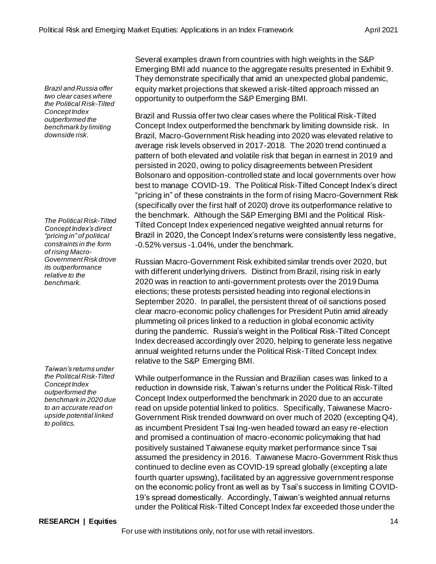*Brazil and Russia offer two clear cases where the Political Risk-Tilted Concept Index outperformed the benchmark by limiting downside risk.*

*The Political Risk-Tilted Concept Index's direct "pricing in" of political constraints in the form of rising Macro-Government Risk drove its outperformance relative to the benchmark.*

*Taiwan's returns under the Political Risk-Tilted Concept Index outperformed the benchmark in 2020 due to an accurate read on upside potential linked to politics.*

Several examples drawn from countries with high weights in the S&P Emerging BMI add nuance to the aggregate results presented in Exhibit 9. They demonstrate specifically that amid an unexpected global pandemic, equity market projections that skewed a risk-tilted approach missed an opportunity to outperform the S&P Emerging BMI.

Brazil and Russia offer two clear cases where the Political Risk-Tilted Concept Index outperformed the benchmark by limiting downside risk. In Brazil, Macro-Government Risk heading into 2020 was elevated relative to average risk levels observed in 2017-2018. The 2020 trend continued a pattern of both elevated and volatile risk that began in earnest in 2019 and persisted in 2020, owing to policy disagreements between President Bolsonaro and opposition-controlled state and local governments over how best to manage COVID-19. The Political Risk-Tilted Concept Index's direct "pricing in" of these constraints in the form of rising Macro-Government Risk (specifically over the first half of 2020) drove its outperformance relative to the benchmark. Although the S&P Emerging BMI and the Political Risk-Tilted Concept Index experienced negative weighted annual returns for Brazil in 2020, the Concept Index's returns were consistently less negative, -0.52% versus -1.04%, under the benchmark.

Russian Macro-Government Risk exhibited similar trends over 2020, but with different underlying drivers. Distinct from Brazil, rising risk in early 2020 was in reaction to anti-government protests over the 2019 Duma elections; these protests persisted heading into regional elections in September 2020. In parallel, the persistent threat of oil sanctions posed clear macro-economic policy challenges for President Putin amid already plummeting oil prices linked to a reduction in global economic activity during the pandemic. Russia's weight in the Political Risk-Tilted Concept Index decreased accordingly over 2020, helping to generate less negative annual weighted returns under the Political Risk-Tilted Concept Index relative to the S&P Emerging BMI.

While outperformance in the Russian and Brazilian cases was linked to a reduction in downside risk, Taiwan's returns under the Political Risk-Tilted Concept Index outperformed the benchmark in 2020 due to an accurate read on upside potential linked to politics. Specifically, Taiwanese Macro-Government Risk trended downward on over much of 2020 (excepting Q4), as incumbent President Tsai Ing-wen headed toward an easy re-election and promised a continuation of macro-economic policymaking that had positively sustained Taiwanese equity market performance since Tsai assumed the presidency in 2016. Taiwanese Macro-Government Risk thus continued to decline even as COVID-19 spread globally (excepting a late fourth quarter upswing), facilitated by an aggressive government response on the economic policy front as well as by Tsai's success in limiting COVID-19's spread domestically. Accordingly, Taiwan's weighted annual returns under the Political Risk-Tilted Concept Index far exceeded those under the

## **RESEARCH | Equities** 14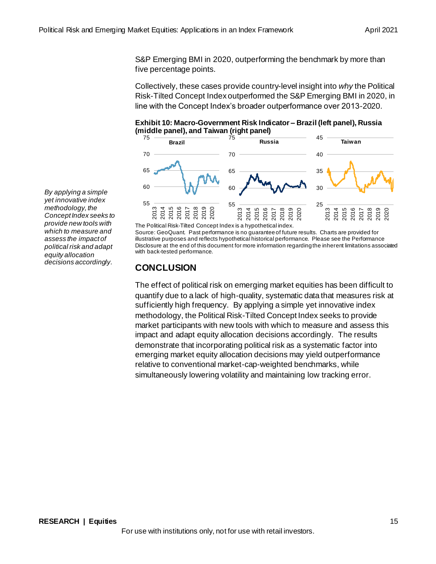S&P Emerging BMI in 2020, outperforming the benchmark by more than five percentage points.

Collectively, these cases provide country-level insight into *why* the Political Risk-Tilted Concept Index outperformed the S&P Emerging BMI in 2020, in line with the Concept Index's broader outperformance over 2013-2020.

**Exhibit 10: Macro-Government Risk Indicator – Brazil (left panel), Russia (middle panel), and Taiwan (right panel)**



The Political Risk-Tilted Concept Index is a hypothetical index. Source: GeoQuant. Past performance is no guarantee of future results. Charts are provided for illustrative purposes and reflects hypothetical historical performance. Please see the Performance Disclosure at the end of this document for more information regarding the inherent limitations associated with back-tested performance.

# **CONCLUSION**

The effect of political risk on emerging market equities has been difficult to quantify due to a lack of high-quality, systematic data that measures risk at sufficiently high frequency. By applying a simple yet innovative index methodology, the Political Risk-Tilted Concept Index seeks to provide market participants with new tools with which to measure and assess this impact and adapt equity allocation decisions accordingly. The results demonstrate that incorporating political risk as a systematic factor into emerging market equity allocation decisions may yield outperformance relative to conventional market-cap-weighted benchmarks, while simultaneously lowering volatility and maintaining low tracking error.

*By applying a simple yet innovative index methodology, the Concept Index seeks to provide new tools with which to measure and assess the impact of political risk and adapt equity allocation decisions accordingly.*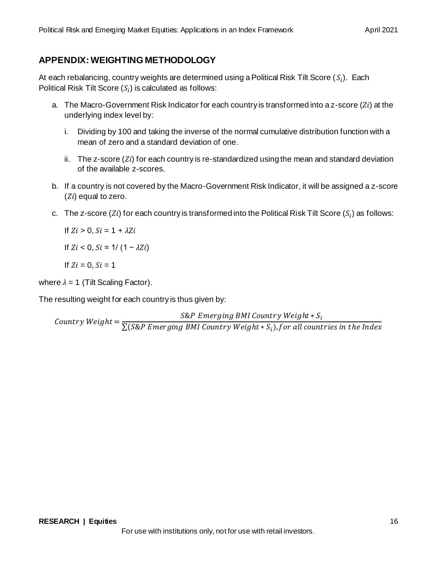# **APPENDIX: WEIGHTING METHODOLOGY**

At each rebalancing, country weights are determined using a Political Risk Tilt Score ( $\mathcal{S}_i$ ). Each Political Risk Tilt Score ( $S_i$ ) is calculated as follows:

- a. The Macro-Government Risk Indicator for each country is transformed into a  $z$ -score ( $Zi$ ) at the underlying index level by:
	- i. Dividing by 100 and taking the inverse of the normal cumulative distribution function with a mean of zero and a standard deviation of one.
	- ii. The z-score  $(Zi)$  for each country is re-standardized using the mean and standard deviation of the available z-scores.
- b. If a country is not covered by the Macro-Government Risk Indicator, it will be assigned a z-score  $(Zi)$  equal to zero.
- c. The z-score (Zi) for each country is transformed into the Political Risk Tilt Score ( ${\it S}_i$ ) as follows:

If  $Zi > 0$ ,  $Si = 1 + \lambda Zi$ 

If  $Z_i < 0$ ,  $Si = 1/(1 - \lambda Z_i)$ 

If  $Z_i = 0$ ,  $Si = 1$ 

where  $\lambda = 1$  (Tilt Scaling Factor).

The resulting weight for each country is thus given by:

S&P Emerging BMI Country Weight  $\ast$  S<sub>i</sub>

Country Weight =  $\frac{1}{\sum (S\&P \text{ Emerging BMI Country Weight} * S_i), for all countries in the Index}$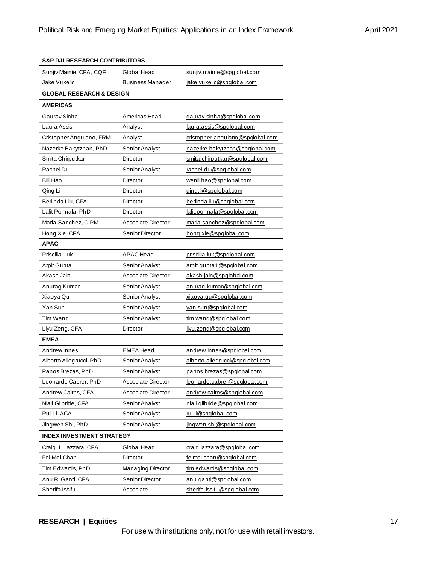| <b>S&amp;P DJI RESEARCH CONTRIBUTORS</b> |                           |                                  |
|------------------------------------------|---------------------------|----------------------------------|
| Sunjiv Mainie, CFA, CQF                  | Global Head               | sunjiv.mainie@spglobal.com       |
| Jake Vukelic                             | <b>Business Manager</b>   | jake.vukelic@spglobal.com        |
| <b>GLOBAL RESEARCH &amp; DESIGN</b>      |                           |                                  |
| <b>AMERICAS</b>                          |                           |                                  |
| Gaurav Sinha                             | Americas Head             | gaurav.sinha@spglobal.com        |
| Laura Assis                              | Analyst                   | laura.assis@spqlobal.com         |
| Cristopher Anguiano, FRM                 | Analyst                   | cristopher.anguiano@spglobal.com |
| Nazerke Bakytzhan, PhD                   | Senior Analyst            | nazerke.bakytzhan@spglobal.com   |
| Smita Chirputkar                         | Director                  | smita.chirputkar@spglobal.com    |
| Rachel Du                                | Senior Analyst            | rachel.du@spqlobal.com           |
| Bill Hao                                 | Director                  | wenli.hao@spglobal.com           |
| Qing Li                                  | <b>Director</b>           | ging.li@spglobal.com             |
| Berlinda Liu, CFA                        | Director                  | berlinda.liu@spglobal.com        |
| Lalit Ponnala, PhD                       | Director                  | lalit.ponnala@spqlobal.com       |
| Maria Sanchez, CIPM                      | Associate Director        | maria.sanchez@spglobal.com       |
| Hong Xie, CFA                            | Senior Director           | hong.xie@spglobal.com            |
| <b>APAC</b>                              |                           |                                  |
| Priscilla Luk                            | <b>APAC</b> Head          | priscilla.luk@spglobal.com       |
| Arpit Gupta                              | Senior Analyst            | arpit.qupta1@spqlobal.com        |
| Akash Jain                               | <b>Associate Director</b> | akash.jain@spglobal.com          |
| Anurag Kumar                             | Senior Analyst            | anurag.kumar@spglobal.com        |
| Xiaoya Qu                                | Senior Analyst            | xiaoya.qu@spglobal.com           |
| Yan Sun                                  | Senior Analyst            | van.sun@spglobal.com             |
| Tim Wang                                 | Senior Analyst            | tim.wang@spglobal.com            |
| Liyu Zeng, CFA                           | Director                  | livu.zeng@spglobal.com           |
| <b>EMEA</b>                              |                           |                                  |
| Andrew Innes                             | <b>EMEA Head</b>          | andrew.innes@spqlobal.com        |
| Alberto Allegrucci, PhD                  | Senior Analyst            | alberto.allegrucci@spglobal.com  |
| Panos Brezas, PhD                        | Senior Analyst            | panos.brezas@spqlobal.com        |
| Leonardo Cabrer, PhD                     | <b>Associate Director</b> | leonardo.cabrer@spglobal.com     |
| Andrew Cairns, CFA                       | Associate Director        | andrew.cairns@spqlobal.com       |
| Niall Gilbride, CFA                      | Senior Analyst            | niall.gilbride@spglobal.com      |
| Rui Li, ACA                              | Senior Analyst            | rui.li@spqlobal.com              |
| Jingwen Shi, PhD                         | Senior Analyst            | jingwen.shi@spglobal.com         |
| <b>INDEX INVESTMENT STRATEGY</b>         |                           |                                  |
| Craig J. Lazzara, CFA                    | Global Head               | craig.lazzara@spglobal.com       |
| Fei Mei Chan                             | Director                  | feimei.chan@spglobal.com         |
| Tim Edwards, PhD                         | <b>Managing Director</b>  | tim.edwards@spglobal.com         |
| Anu R. Ganti, CFA                        | Senior Director           | anu.ganti@spglobal.com           |
| Sherifa Issifu                           | Associate                 | sherifa.issifu@spqlobal.com      |

## **RESEARCH | Equities** 17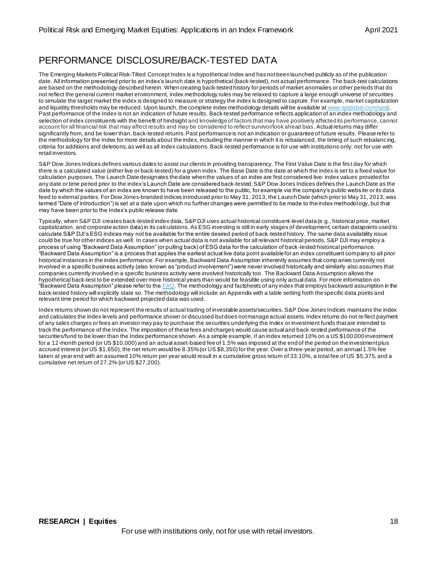# PERFORMANCE DISCLOSURE/BACK-TESTED DATA

The Emerging Markets Political Risk-Tilted Concept Index is a hypothetical Index and has not been launched publicly as of the publication date. All information presented prior to an index's launch date is hypothetical (back-tested), not actual performance. The back-test calculations are based on the methodology described herein. When creating back-tested history for periods of market anomalies or other periods that do not reflect the general current market environment, index methodology rules may be relaxed to capture a large enough universe of securities to simulate the target market the index is designed to measure or strategy the index is designed to capture. For example, market capitalization and liquidity thresholds may be reduced. Upon launch, the complete index methodology details will be available [at www.spglobal.com/spdji](http://www.spglobal.com/spdji). Past performance of the Index is not an indication of future results. Back-tested performance reflects application of an index methodology and selection of index constituents with the benefit of hindsight and knowledge of factors that may have positively affected its performance, cannot account for all financial risk that may affect results and may be considered to reflect survivor/look ahead bias. Actual returns may differ significantly from, and be lower than, back-tested returns. Past performance is not an indication or guarantee of future results. Please refer to the methodology for the Index for more details about the index, including the manner in which it is rebalanced, the timing of such rebalanc ing, criteria for additions and deletions, as well as all index calculations. Back-tested performance is for use with institutions only; not for use with retail investors.

S&P Dow Jones Indices defines various dates to assist our clients in providing transparency. The First Value Date is the first day for which there is a calculated value (either live or back-tested) for a given index. The Base Date is the date at which the index is set to a fixed value for calculation purposes. The Launch Date designates the date when the values of an index are first considered live: index values provided for any date or time period prior to the index's Launch Date are considered back-tested. S&P Dow Jones Indices defines the Launch Date as the date by which the values of an index are known to have been released to the public, for example via the company's public webs ite or its data feed to external parties. For Dow Jones-branded indices introduced prior to May 31, 2013, the Launch Date (which prior to May 31, 2013, was termed "Date of introduction") is set at a date upon which no further changes were permitted to be made to the index methodology, but that may have been prior to the Index's public release date.

Typically, when S&P DJI creates back-tested index data, S&P DJI uses actual historical constituent-level data (e.g., historical price, market capitalization, and corporate action data) in its calculations. As ESG investing is still in early stages of development, certain datapoints used to calculate S&P DJI's ESG indices may not be available for the entire desired period of back-tested history. The same data availability issue could be true for other indices as well. In cases when actual data is not available for all relevant historical periods, S&P DJI may employ a process of using "Backward Data Assumption" (or pulling back) of ESG data for the calculation of back-tested historical performance. "Backward Data Assumption" is a process that applies the earliest actual live data point available for an index constituent company to all prior historical instances in the index performance. For example, Backward Data Assumption inherently assumes that comp anies currently not involved in a specific business activity (also known as "product involvement") were never involved historically and similarly also assumes that companies currently involved in a specific business activity were involved historically too. The Backward Data Assumption allows the hypothetical back-test to be extended over more historical years than would be feasible using only actual data. For more information on "Backward Data Assumption" please refer to the  $FAQ$ . The methodology and factsheets of any index that employs backward assumption in the back-tested history will explicitly state so. The methodology will include an Appendix with a table setting forth the specific data points and relevant time period for which backward projected data was used.

Index returns shown do not represent the results of actual trading of investable assets/securities. S&P Dow Jones Indices maintains the index and calculates the index levels and performance shown or discussed but does not manage actual assets. Index returns do not re flect payment of any sales charges or fees an investor may pay to purchase the securities underlying the Index or investment funds that are intended to track the performance of the Index. The imposition of these fees and charges would cause actual and back-tested performance of the securities/fund to be lower than the Index performance shown. As a simple example, if an index returned 10% on a US \$100,000 investment for a 12-month period (or US \$10,000) and an actual asset-based fee of 1.5% was imposed at the end of the period on the investment plus accrued interest (or US \$1,650), the net return would be 8.35% (or US \$8,350) for the year. Over a three-year period, an annual 1.5% fee taken at year end with an assumed 10% return per year would result in a cumulative gross return of 33.10%, a total fee of US \$5,375, and a cumulative net return of 27.2% (or US \$27,200).